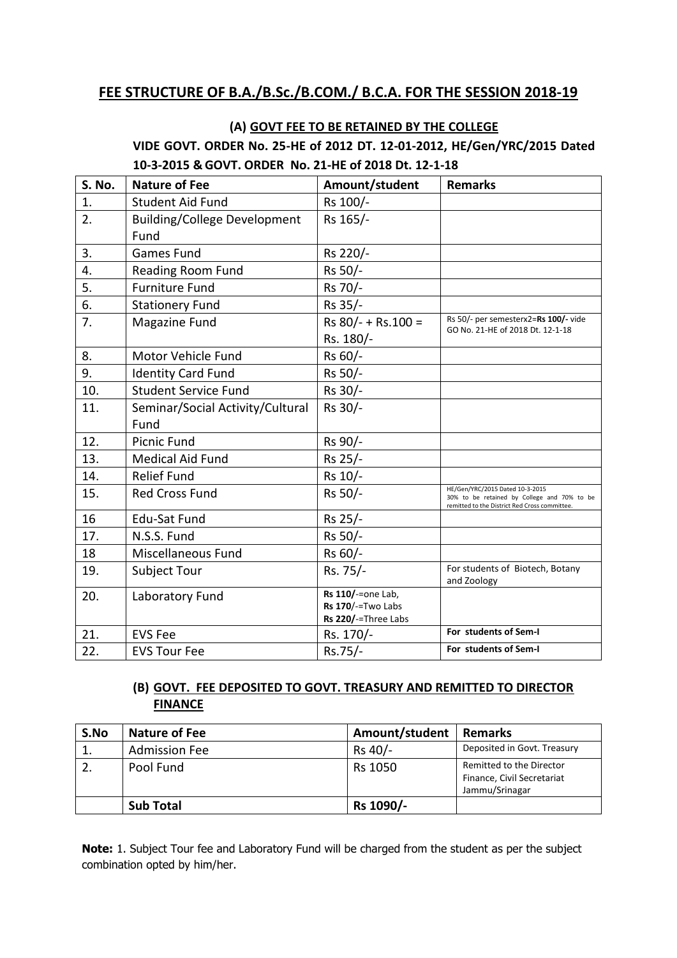# **FEE STRUCTURE OF B.A./B.Sc./B.COM./ B.C.A. FOR THE SESSION 2018-19**

# **(A) GOVT FEE TO BE RETAINED BY THE COLLEGE VIDE GOVT. ORDER No. 25-HE of 2012 DT. 12-01-2012, HE/Gen/YRC/2015 Dated 10-3-2015 & GOVT. ORDER No. 21-HE of 2018 Dt. 12-1-18**

| S. No. | <b>Nature of Fee</b>                | Amount/student      | <b>Remarks</b>                                                                                                                  |
|--------|-------------------------------------|---------------------|---------------------------------------------------------------------------------------------------------------------------------|
| 1.     | <b>Student Aid Fund</b>             | Rs 100/-            |                                                                                                                                 |
| 2.     | <b>Building/College Development</b> | Rs 165/-            |                                                                                                                                 |
|        | Fund                                |                     |                                                                                                                                 |
| 3.     | <b>Games Fund</b>                   | Rs 220/-            |                                                                                                                                 |
| 4.     | Reading Room Fund                   | Rs 50/-             |                                                                                                                                 |
| 5.     | <b>Furniture Fund</b>               | Rs 70/-             |                                                                                                                                 |
| 6.     | <b>Stationery Fund</b>              | Rs 35/-             |                                                                                                                                 |
| 7.     | Magazine Fund                       | Rs 80/- + Rs.100 =  | Rs 50/- per semesterx2=Rs 100/- vide                                                                                            |
|        |                                     | Rs. 180/-           | GO No. 21-HE of 2018 Dt. 12-1-18                                                                                                |
| 8.     | Motor Vehicle Fund                  | Rs 60/-             |                                                                                                                                 |
| 9.     | <b>Identity Card Fund</b>           | Rs 50/-             |                                                                                                                                 |
| 10.    | <b>Student Service Fund</b>         | Rs 30/-             |                                                                                                                                 |
| 11.    | Seminar/Social Activity/Cultural    | Rs 30/-             |                                                                                                                                 |
|        | Fund                                |                     |                                                                                                                                 |
| 12.    | <b>Picnic Fund</b>                  | Rs 90/-             |                                                                                                                                 |
| 13.    | <b>Medical Aid Fund</b>             | Rs 25/-             |                                                                                                                                 |
| 14.    | <b>Relief Fund</b>                  | Rs 10/-             |                                                                                                                                 |
| 15.    | <b>Red Cross Fund</b>               | Rs 50/-             | HE/Gen/YRC/2015 Dated 10-3-2015<br>30% to be retained by College and 70% to be<br>remitted to the District Red Cross committee. |
| 16     | <b>Edu-Sat Fund</b>                 | Rs 25/-             |                                                                                                                                 |
| 17.    | N.S.S. Fund                         | Rs 50/-             |                                                                                                                                 |
| 18     | Miscellaneous Fund                  | Rs 60/-             |                                                                                                                                 |
| 19.    | Subject Tour                        | Rs. 75/-            | For students of Biotech, Botany                                                                                                 |
|        |                                     | Rs 110/-=one Lab,   | and Zoology                                                                                                                     |
| 20.    | Laboratory Fund                     | Rs 170/-=Two Labs   |                                                                                                                                 |
|        |                                     | Rs 220/-=Three Labs |                                                                                                                                 |
| 21.    | <b>EVS Fee</b>                      | Rs. 170/-           | For students of Sem-I                                                                                                           |
| 22.    | <b>EVS Tour Fee</b>                 | Rs.75/-             | For students of Sem-I                                                                                                           |

### **(B) GOVT. FEE DEPOSITED TO GOVT. TREASURY AND REMITTED TO DIRECTOR FINANCE**

| S.No | <b>Nature of Fee</b> | Amount/student | <b>Remarks</b>                                                           |
|------|----------------------|----------------|--------------------------------------------------------------------------|
|      | <b>Admission Fee</b> | Rs 40/-        | Deposited in Govt. Treasury                                              |
|      | Pool Fund            | Rs 1050        | Remitted to the Director<br>Finance, Civil Secretariat<br>Jammu/Srinagar |
|      | <b>Sub Total</b>     | Rs 1090/-      |                                                                          |

**Note:** 1. Subject Tour fee and Laboratory Fund will be charged from the student as per the subject combination opted by him/her.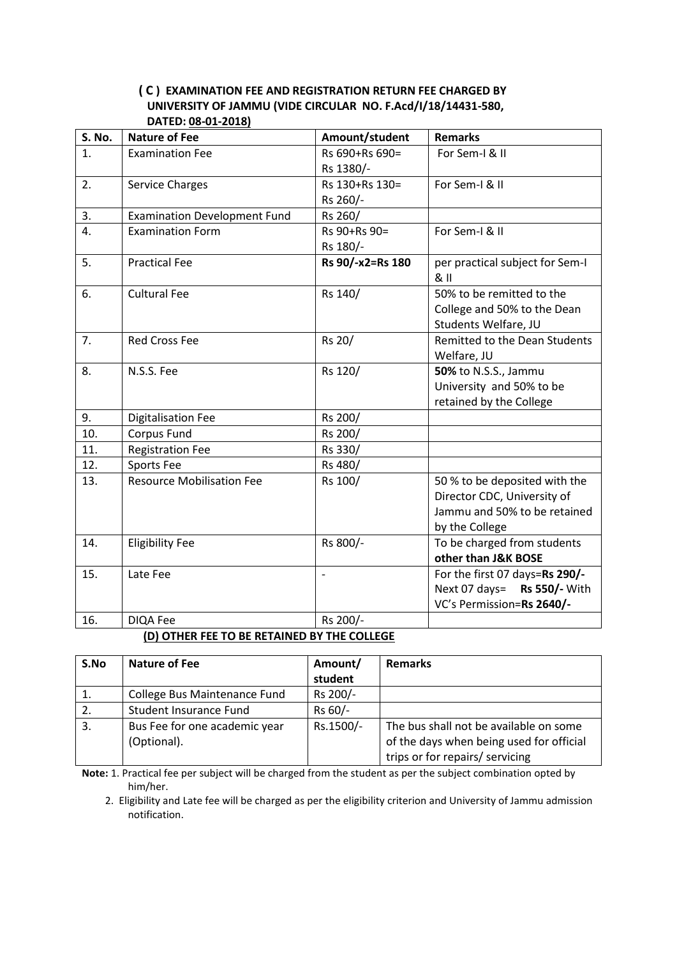#### **( C ) EXAMINATION FEE AND REGISTRATION RETURN FEE CHARGED BY UNIVERSITY OF JAMMU (VIDE CIRCULAR NO. F.Acd/I/18/14431-580, DATED: 08-01-2018)**

| S. No. | <b>Nature of Fee</b>                | Amount/student   | <b>Remarks</b>                  |
|--------|-------------------------------------|------------------|---------------------------------|
| 1.     | <b>Examination Fee</b>              | Rs 690+Rs 690=   | For Sem-I & II                  |
|        |                                     | Rs 1380/-        |                                 |
| 2.     | <b>Service Charges</b>              | Rs 130+Rs 130=   | For Sem-I & II                  |
|        |                                     | Rs 260/-         |                                 |
| 3.     | <b>Examination Development Fund</b> | Rs 260/          |                                 |
| 4.     | <b>Examination Form</b>             | Rs 90+Rs 90=     | For Sem-I & II                  |
|        |                                     | Rs 180/-         |                                 |
| 5.     | <b>Practical Fee</b>                | Rs 90/-x2=Rs 180 | per practical subject for Sem-I |
|        |                                     |                  | 811                             |
| 6.     | <b>Cultural Fee</b>                 | Rs 140/          | 50% to be remitted to the       |
|        |                                     |                  | College and 50% to the Dean     |
|        |                                     |                  | Students Welfare, JU            |
| 7.     | <b>Red Cross Fee</b>                | Rs 20/           | Remitted to the Dean Students   |
|        |                                     |                  | Welfare, JU                     |
| 8.     | N.S.S. Fee                          | Rs 120/          | 50% to N.S.S., Jammu            |
|        |                                     |                  | University and 50% to be        |
|        |                                     |                  | retained by the College         |
| 9.     | <b>Digitalisation Fee</b>           | Rs 200/          |                                 |
| 10.    | Corpus Fund                         | Rs 200/          |                                 |
| 11.    | <b>Registration Fee</b>             | Rs 330/          |                                 |
| 12.    | Sports Fee                          | Rs 480/          |                                 |
| 13.    | <b>Resource Mobilisation Fee</b>    | Rs 100/          | 50 % to be deposited with the   |
|        |                                     |                  | Director CDC, University of     |
|        |                                     |                  | Jammu and 50% to be retained    |
|        |                                     |                  | by the College                  |
| 14.    | <b>Eligibility Fee</b>              | Rs 800/-         | To be charged from students     |
|        |                                     |                  | other than J&K BOSE             |
| 15.    | Late Fee                            |                  | For the first 07 days=Rs 290/-  |
|        |                                     |                  | Next 07 days=<br>Rs 550/- With  |
|        |                                     |                  | VC's Permission=Rs 2640/-       |
| 16.    | <b>DIQA Fee</b>                     | Rs 200/-         |                                 |

#### **(D) OTHER FEE TO BE RETAINED BY THE COLLEGE**

| S.No | <b>Nature of Fee</b>          | Amount/   | <b>Remarks</b>                           |  |  |  |  |
|------|-------------------------------|-----------|------------------------------------------|--|--|--|--|
|      |                               | student   |                                          |  |  |  |  |
| 1.   | College Bus Maintenance Fund  | Rs 200/-  |                                          |  |  |  |  |
| 2.   | Student Insurance Fund        | Rs 60/-   |                                          |  |  |  |  |
| 3.   | Bus Fee for one academic year | Rs.1500/- | The bus shall not be available on some   |  |  |  |  |
|      | (Optional).                   |           | of the days when being used for official |  |  |  |  |
|      |                               |           | trips or for repairs/ servicing          |  |  |  |  |

**Note:** 1. Practical fee per subject will be charged from the student as per the subject combination opted by him/her.

 2. Eligibility and Late fee will be charged as per the eligibility criterion and University of Jammu admission notification.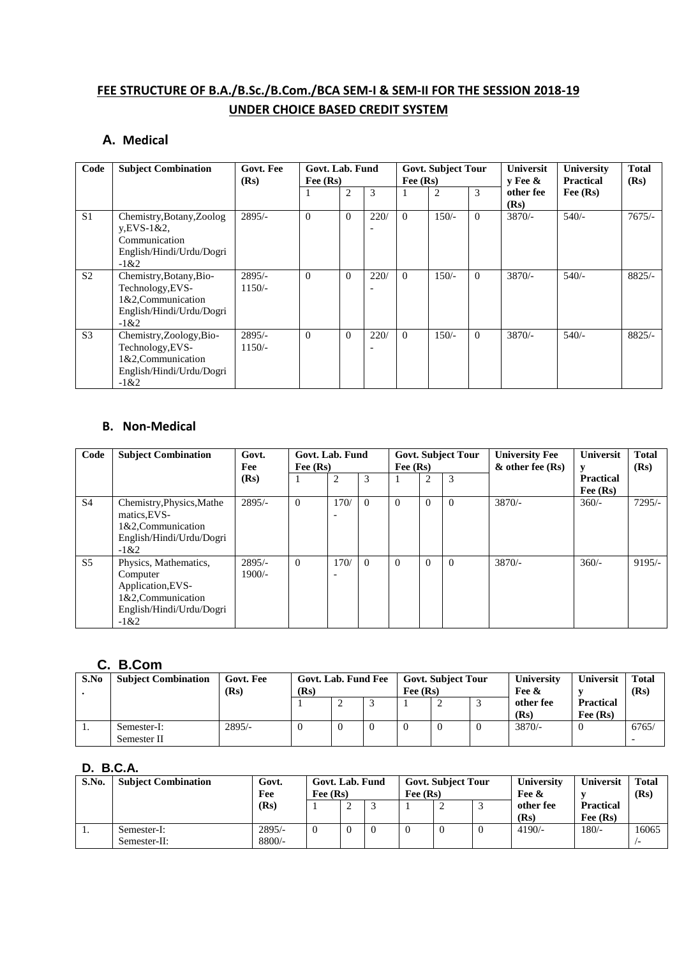# **FEE STRUCTURE OF B.A./B.Sc./B.Com./BCA SEM-I & SEM-II FOR THE SESSION 2018-19 UNDER CHOICE BASED CREDIT SYSTEM**

### **A. Medical**

| Code           | <b>Subject Combination</b>                                                                               | Govt. Fee<br>(Rs)    | Govt. Lab. Fund<br>Fee $(Rs)$ |                |      | Fee $(Rs)$ | <b>Govt. Subject Tour</b> |          | <b>Universit</b><br>$v$ Fee $\&$ | <b>University</b><br><b>Practical</b> | <b>Total</b><br>(Rs) |
|----------------|----------------------------------------------------------------------------------------------------------|----------------------|-------------------------------|----------------|------|------------|---------------------------|----------|----------------------------------|---------------------------------------|----------------------|
|                |                                                                                                          |                      |                               | $\overline{c}$ | 3    |            | $\overline{2}$            | 3        | other fee<br>(Rs)                | Fee $(Rs)$                            |                      |
| S <sub>1</sub> | Chemistry, Botany, Zoolog<br>$y.EVS-1&2,$<br>Communication<br>English/Hindi/Urdu/Dogri<br>$-1&2$         | $2895/-$             | $\Omega$                      | $\Omega$       | 220/ | $\Omega$   | $150/-$                   | $\Omega$ | $3870/-$                         | $540/-$                               | $7675/-$             |
| S <sub>2</sub> | Chemistry, Botany, Bio-<br>Technology, EVS-<br>1&2,Communication<br>English/Hindi/Urdu/Dogri<br>$-1 & 2$ | $2895/-$<br>$1150/-$ | $\Omega$                      | $\Omega$       | 220/ | $\Omega$   | $150/-$                   | $\Omega$ | $3870/-$                         | $540/-$                               | $8825/-$             |
| S <sub>3</sub> | Chemistry, Zoology, Bio-<br>Technology, EVS-<br>1&2, Communication<br>English/Hindi/Urdu/Dogri<br>$-1&2$ | $2895/-$<br>$1150/-$ | $\theta$                      | $\Omega$       | 220/ | $\Omega$   | $150/-$                   | $\Omega$ | $3870/-$                         | $540/-$                               | $8825/-$             |

#### **B. Non-Medical**

| Code           | <b>Subject Combination</b>                                                                                         | Govt.<br>Fee         | Govt. Lab. Fund<br>Fee $(Rs)$ |                                  |          | Fee $(Rs)$ |          | <b>Govt. Subject Tour</b> | <b>University Fee</b><br>$\&$ other fee (Rs) | <b>Universit</b>               | <b>Total</b><br>(Rs) |
|----------------|--------------------------------------------------------------------------------------------------------------------|----------------------|-------------------------------|----------------------------------|----------|------------|----------|---------------------------|----------------------------------------------|--------------------------------|----------------------|
|                |                                                                                                                    | (Rs)                 |                               | $\overline{c}$                   | 3        | п          | 2        | 3                         |                                              | <b>Practical</b><br>Fee $(Rs)$ |                      |
| <b>S4</b>      | Chemistry, Physics, Mathe<br>matics, EVS-<br>1&2, Communication<br>English/Hindi/Urdu/Dogri<br>$-1&2$              | $2895/-$             | $\Omega$                      | 170/<br>$\overline{\phantom{0}}$ | $\Omega$ | $\Omega$   | $\Omega$ | $\theta$                  | $3870/-$                                     | $360/-$                        | $7295/-$             |
| S <sub>5</sub> | Physics, Mathematics,<br>Computer<br>Application, EVS-<br>1&2, Communication<br>English/Hindi/Urdu/Dogri<br>$-1&2$ | $2895/-$<br>$1900/-$ | $\Omega$                      | 170/<br>$\overline{\phantom{0}}$ | $\Omega$ | $\Omega$   | $\Omega$ | $\theta$                  | $3870/-$                                     | $360/-$                        | $9195/-$             |

### **C. B.Com**

| S.No | <b>Subject Combination</b> | Govt. Fee<br>(Rs) | Govt. Lab. Fund Fee<br>(Rs) |  |  | Fee $(Rs)$ | <b>Govt. Subject Tour</b> | University<br>Fee & | <b>Universit</b>               | <b>Total</b><br>(Rs) |
|------|----------------------------|-------------------|-----------------------------|--|--|------------|---------------------------|---------------------|--------------------------------|----------------------|
|      |                            |                   |                             |  |  |            |                           | other fee<br>(Rs)   | <b>Practical</b><br>Fee $(Rs)$ |                      |
| .,   | Semester-I:<br>Semester II | $2895/-$          | ν                           |  |  |            | $\theta$                  | $3870/-$            |                                | 6765/                |

### **D. B.C.A.**

| S.No. | <b>Subject Combination</b>  | Govt.<br>Fee         | Govt. Lab. Fund<br>Fee $(Rs)$ |   |  | Fee $(Rs)$ | <b>Govt. Subject Tour</b> | University<br>Fee & | <b>Universit</b>               | <b>Total</b><br>(Rs) |
|-------|-----------------------------|----------------------|-------------------------------|---|--|------------|---------------------------|---------------------|--------------------------------|----------------------|
|       |                             | (Rs)                 |                               | ∼ |  |            |                           | other fee<br>(Rs)   | <b>Practical</b><br>Fee $(Rs)$ |                      |
| .,    | Semester-I:<br>Semester-II: | $2895/-$<br>$8800/-$ | $\overline{0}$                |   |  |            | $\theta$                  | $4190/-$            | $180/-$                        | 16065                |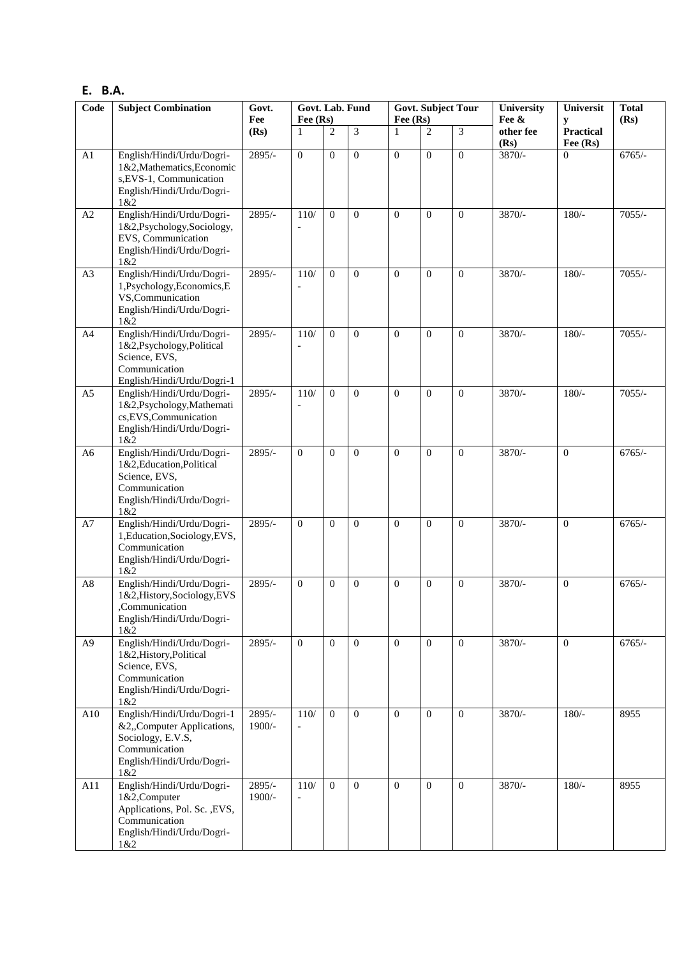### **E. B.A.**

| Code           | <b>Subject Combination</b>                                                                                                         | Govt.<br>Fee       | Govt. Lab. Fund<br>Fee (Rs) |                | Fee (Rs)     | <b>Govt. Subject Tour</b> |                | University<br>Fee & | Universit<br>y | <b>Total</b><br>(Rs) |          |
|----------------|------------------------------------------------------------------------------------------------------------------------------------|--------------------|-----------------------------|----------------|--------------|---------------------------|----------------|---------------------|----------------|----------------------|----------|
|                |                                                                                                                                    | (Rs)               | 1                           | $\overline{2}$ | 3            | 1                         | $\overline{2}$ | $\overline{3}$      | other fee      | <b>Practical</b>     |          |
| A1             | English/Hindi/Urdu/Dogri-<br>1&2, Mathematics, Economic<br>s, EVS-1, Communication<br>English/Hindi/Urdu/Dogri-<br>1&2             | $2895/-$           | $\mathbf{0}$                | $\Omega$       | $\mathbf{0}$ | $\overline{0}$            | $\Omega$       | $\overline{0}$      | (Rs)<br>3870/- | Fee (Rs)<br>$\Omega$ | $6765/-$ |
| A2             | English/Hindi/Urdu/Dogri-<br>1&2,Psychology,Sociology,<br>EVS, Communication<br>English/Hindi/Urdu/Dogri-<br>1&2                   | $2895/-$           | 110/                        | $\Omega$       | $\Omega$     | $\Omega$                  | $\Omega$       | $\Omega$            | $3870/-$       | $180/-$              | $7055/-$ |
| A3             | English/Hindi/Urdu/Dogri-<br>1,Psychology,Economics,E<br>VS,Communication<br>English/Hindi/Urdu/Dogri-<br>1&2                      | 2895/-             | 110/<br>$\overline{a}$      | $\mathbf{0}$   | $\mathbf{0}$ | $\Omega$                  | $\Omega$       | $\Omega$            | 3870/-         | $180/-$              | $7055/-$ |
| A4             | English/Hindi/Urdu/Dogri-<br>1&2,Psychology,Political<br>Science, EVS,<br>Communication<br>English/Hindi/Urdu/Dogri-1              | $2895/-$           | 110/                        | $\Omega$       | $\mathbf{0}$ | $\theta$                  | $\Omega$       | $\Omega$            | 3870/-         | $180/-$              | $7055/-$ |
| A <sub>5</sub> | English/Hindi/Urdu/Dogri-<br>1&2,Psychology,Mathemati<br>cs, EVS, Communication<br>English/Hindi/Urdu/Dogri-<br>1&2                | 2895/-             | 110/                        | $\Omega$       | $\Omega$     | $\theta$                  | $\theta$       | $\Omega$            | 3870/-         | $180/-$              | $7055/-$ |
| A <sub>6</sub> | English/Hindi/Urdu/Dogri-<br>1&2, Education, Political<br>Science, EVS,<br>Communication<br>English/Hindi/Urdu/Dogri-<br>1&2       | 2895/-             | $\Omega$                    | $\theta$       | $\Omega$     | $\Omega$                  | $\Omega$       | $\Omega$            | 3870/-         | $\mathbf{0}$         | $6765/-$ |
| A7             | English/Hindi/Urdu/Dogri-<br>1, Education, Sociology, EVS,<br>Communication<br>English/Hindi/Urdu/Dogri-<br>1&2                    | $2895/-$           | $\overline{0}$              | $\Omega$       | $\mathbf{0}$ | $\theta$                  | $\Omega$       | $\Omega$            | 3870/-         | $\overline{0}$       | $6765/-$ |
| A8             | English/Hindi/Urdu/Dogri-<br>1&2, History, Sociology, EVS<br>Communication,<br>English/Hindi/Urdu/Dogri-<br>1&2                    | $2895/-$           | $\Omega$                    | $\theta$       | $\Omega$     | $\theta$                  | $\theta$       | $\Omega$            | 3870/-         | $\Omega$             | $6765/-$ |
| A <sub>9</sub> | English/Hindi/Urdu/Dogri-<br>1&2, History, Political<br>Science, EVS,<br>Communication<br>English/Hindi/Urdu/Dogri-<br>1&2         | 2895/-             | $\overline{0}$              | $\mathbf{0}$   | $\mathbf{0}$ | $\overline{0}$            | $\Omega$       | $\theta$            | 3870/-         | $\overline{0}$       | $6765/-$ |
| A10            | English/Hindi/Urdu/Dogri-1<br>&2,,Computer Applications,<br>Sociology, E.V.S,<br>Communication<br>English/Hindi/Urdu/Dogri-<br>1&2 | 2895/-<br>1900/-   | 110/<br>$\overline{a}$      | $\theta$       | $\Omega$     | $\Omega$                  | $\Omega$       | $\Omega$            | 3870/-         | $180/-$              | 8955     |
| A11            | English/Hindi/Urdu/Dogri-<br>1&2,Computer<br>Applications, Pol. Sc., EVS,<br>Communication<br>English/Hindi/Urdu/Dogri-<br>1&2     | 2895/-<br>$1900/-$ | 110/<br>$\overline{a}$      | $\Omega$       | $\theta$     | $\overline{0}$            | $\Omega$       | $\theta$            | 3870/-         | $180/-$              | 8955     |